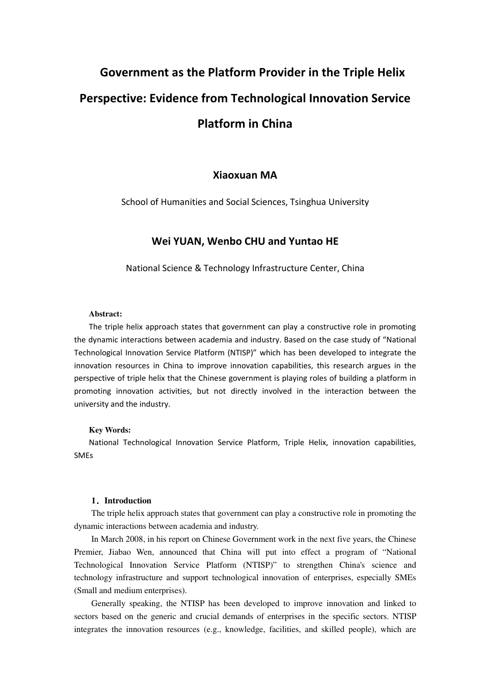# Government as the Platform Provider in the Triple Helix Perspective: Evidence from Technological Innovation Service Platform in China

## Xiaoxuan MA

School of Humanities and Social Sciences, Tsinghua University

## Wei YUAN, Wenbo CHU and Yuntao HE

National Science & Technology Infrastructure Center, China

#### **Abstract:**

The triple helix approach states that government can play a constructive role in promoting the dynamic interactions between academia and industry. Based on the case study of "National Technological Innovation Service Platform (NTISP)" which has been developed to integrate the innovation resources in China to improve innovation capabilities, this research argues in the perspective of triple helix that the Chinese government is playing roles of building a platform in promoting innovation activities, but not directly involved in the interaction between the university and the industry.

#### **Key Words:**

National Technological Innovation Service Platform, Triple Helix, innovation capabilities, SMEs

## **1**.**Introduction**

The triple helix approach states that government can play a constructive role in promoting the dynamic interactions between academia and industry.

In March 2008, in his report on Chinese Government work in the next five years, the Chinese Premier, Jiabao Wen, announced that China will put into effect a program of "National Technological Innovation Service Platform (NTISP)" to strengthen China's science and technology infrastructure and support technological innovation of enterprises, especially SMEs (Small and medium enterprises).

Generally speaking, the NTISP has been developed to improve innovation and linked to sectors based on the generic and crucial demands of enterprises in the specific sectors. NTISP integrates the innovation resources (e.g., knowledge, facilities, and skilled people), which are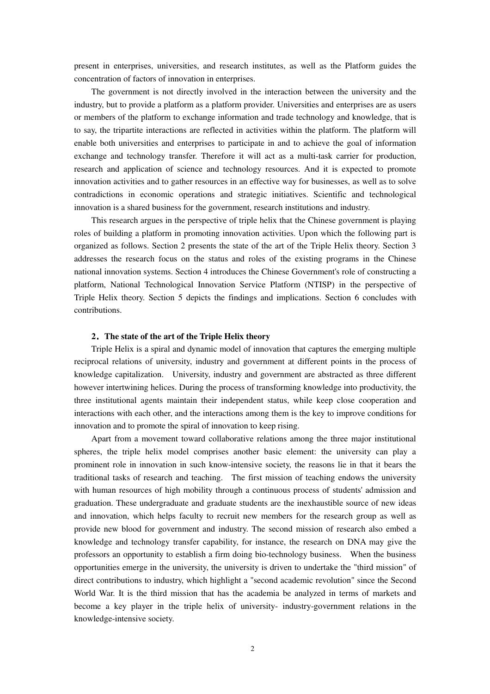present in enterprises, universities, and research institutes, as well as the Platform guides the concentration of factors of innovation in enterprises.

The government is not directly involved in the interaction between the university and the industry, but to provide a platform as a platform provider. Universities and enterprises are as users or members of the platform to exchange information and trade technology and knowledge, that is to say, the tripartite interactions are reflected in activities within the platform. The platform will enable both universities and enterprises to participate in and to achieve the goal of information exchange and technology transfer. Therefore it will act as a multi-task carrier for production, research and application of science and technology resources. And it is expected to promote innovation activities and to gather resources in an effective way for businesses, as well as to solve contradictions in economic operations and strategic initiatives. Scientific and technological innovation is a shared business for the government, research institutions and industry.

This research argues in the perspective of triple helix that the Chinese government is playing roles of building a platform in promoting innovation activities. Upon which the following part is organized as follows. Section 2 presents the state of the art of the Triple Helix theory. Section 3 addresses the research focus on the status and roles of the existing programs in the Chinese national innovation systems. Section 4 introduces the Chinese Government's role of constructing a platform, National Technological Innovation Service Platform (NTISP) in the perspective of Triple Helix theory. Section 5 depicts the findings and implications. Section 6 concludes with contributions.

#### **2**.**The state of the art of the Triple Helix theory**

Triple Helix is a spiral and dynamic model of innovation that captures the emerging multiple reciprocal relations of university, industry and government at different points in the process of knowledge capitalization. University, industry and government are abstracted as three different however intertwining helices. During the process of transforming knowledge into productivity, the three institutional agents maintain their independent status, while keep close cooperation and interactions with each other, and the interactions among them is the key to improve conditions for innovation and to promote the spiral of innovation to keep rising.

Apart from a movement toward collaborative relations among the three major institutional spheres, the triple helix model comprises another basic element: the university can play a prominent role in innovation in such know-intensive society, the reasons lie in that it bears the traditional tasks of research and teaching. The first mission of teaching endows the university with human resources of high mobility through a continuous process of students' admission and graduation. These undergraduate and graduate students are the inexhaustible source of new ideas and innovation, which helps faculty to recruit new members for the research group as well as provide new blood for government and industry. The second mission of research also embed a knowledge and technology transfer capability, for instance, the research on DNA may give the professors an opportunity to establish a firm doing bio-technology business. When the business opportunities emerge in the university, the university is driven to undertake the "third mission" of direct contributions to industry, which highlight a "second academic revolution" since the Second World War. It is the third mission that has the academia be analyzed in terms of markets and become a key player in the triple helix of university- industry-government relations in the knowledge-intensive society.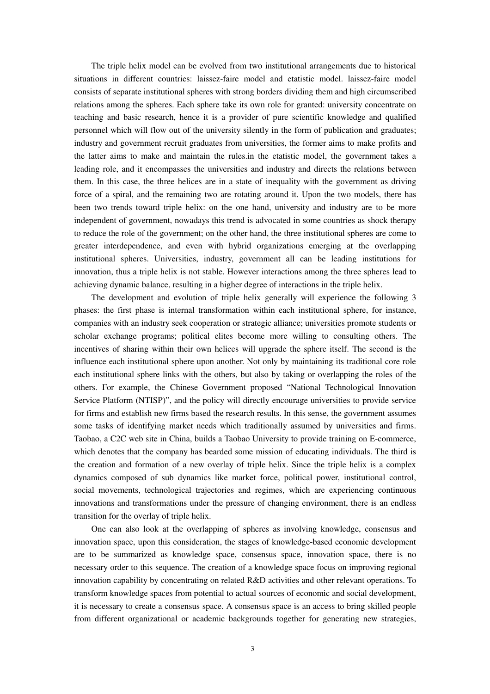The triple helix model can be evolved from two institutional arrangements due to historical situations in different countries: laissez-faire model and etatistic model. laissez-faire model consists of separate institutional spheres with strong borders dividing them and high circumscribed relations among the spheres. Each sphere take its own role for granted: university concentrate on teaching and basic research, hence it is a provider of pure scientific knowledge and qualified personnel which will flow out of the university silently in the form of publication and graduates; industry and government recruit graduates from universities, the former aims to make profits and the latter aims to make and maintain the rules.in the etatistic model, the government takes a leading role, and it encompasses the universities and industry and directs the relations between them. In this case, the three helices are in a state of inequality with the government as driving force of a spiral, and the remaining two are rotating around it. Upon the two models, there has been two trends toward triple helix: on the one hand, university and industry are to be more independent of government, nowadays this trend is advocated in some countries as shock therapy to reduce the role of the government; on the other hand, the three institutional spheres are come to greater interdependence, and even with hybrid organizations emerging at the overlapping institutional spheres. Universities, industry, government all can be leading institutions for innovation, thus a triple helix is not stable. However interactions among the three spheres lead to achieving dynamic balance, resulting in a higher degree of interactions in the triple helix.

The development and evolution of triple helix generally will experience the following 3 phases: the first phase is internal transformation within each institutional sphere, for instance, companies with an industry seek cooperation or strategic alliance; universities promote students or scholar exchange programs; political elites become more willing to consulting others. The incentives of sharing within their own helices will upgrade the sphere itself. The second is the influence each institutional sphere upon another. Not only by maintaining its traditional core role each institutional sphere links with the others, but also by taking or overlapping the roles of the others. For example, the Chinese Government proposed "National Technological Innovation Service Platform (NTISP)", and the policy will directly encourage universities to provide service for firms and establish new firms based the research results. In this sense, the government assumes some tasks of identifying market needs which traditionally assumed by universities and firms. Taobao, a C2C web site in China, builds a Taobao University to provide training on E-commerce, which denotes that the company has bearded some mission of educating individuals. The third is the creation and formation of a new overlay of triple helix. Since the triple helix is a complex dynamics composed of sub dynamics like market force, political power, institutional control, social movements, technological trajectories and regimes, which are experiencing continuous innovations and transformations under the pressure of changing environment, there is an endless transition for the overlay of triple helix.

One can also look at the overlapping of spheres as involving knowledge, consensus and innovation space, upon this consideration, the stages of knowledge-based economic development are to be summarized as knowledge space, consensus space, innovation space, there is no necessary order to this sequence. The creation of a knowledge space focus on improving regional innovation capability by concentrating on related R&D activities and other relevant operations. To transform knowledge spaces from potential to actual sources of economic and social development, it is necessary to create a consensus space. A consensus space is an access to bring skilled people from different organizational or academic backgrounds together for generating new strategies,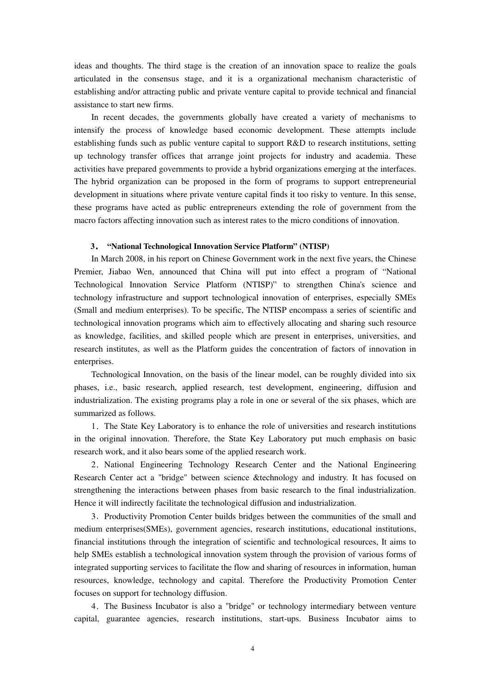ideas and thoughts. The third stage is the creation of an innovation space to realize the goals articulated in the consensus stage, and it is a organizational mechanism characteristic of establishing and/or attracting public and private venture capital to provide technical and financial assistance to start new firms.

In recent decades, the governments globally have created a variety of mechanisms to intensify the process of knowledge based economic development. These attempts include establishing funds such as public venture capital to support R&D to research institutions, setting up technology transfer offices that arrange joint projects for industry and academia. These activities have prepared governments to provide a hybrid organizations emerging at the interfaces. The hybrid organization can be proposed in the form of programs to support entrepreneurial development in situations where private venture capital finds it too risky to venture. In this sense, these programs have acted as public entrepreneurs extending the role of government from the macro factors affecting innovation such as interest rates to the micro conditions of innovation.

#### **3**. **"National Technological Innovation Service Platform" (NTISP)**

In March 2008, in his report on Chinese Government work in the next five years, the Chinese Premier, Jiabao Wen, announced that China will put into effect a program of "National Technological Innovation Service Platform (NTISP)" to strengthen China's science and technology infrastructure and support technological innovation of enterprises, especially SMEs (Small and medium enterprises). To be specific, The NTISP encompass a series of scientific and technological innovation programs which aim to effectively allocating and sharing such resource as knowledge, facilities, and skilled people which are present in enterprises, universities, and research institutes, as well as the Platform guides the concentration of factors of innovation in enterprises.

Technological Innovation, on the basis of the linear model, can be roughly divided into six phases, i.e., basic research, applied research, test development, engineering, diffusion and industrialization. The existing programs play a role in one or several of the six phases, which are summarized as follows.

1.The State Key Laboratory is to enhance the role of universities and research institutions in the original innovation. Therefore, the State Key Laboratory put much emphasis on basic research work, and it also bears some of the applied research work.

2.National Engineering Technology Research Center and the National Engineering Research Center act a "bridge" between science &technology and industry. It has focused on strengthening the interactions between phases from basic research to the final industrialization. Hence it will indirectly facilitate the technological diffusion and industrialization.

3. Productivity Promotion Center builds bridges between the communities of the small and medium enterprises(SMEs), government agencies, research institutions, educational institutions, financial institutions through the integration of scientific and technological resources, It aims to help SMEs establish a technological innovation system through the provision of various forms of integrated supporting services to facilitate the flow and sharing of resources in information, human resources, knowledge, technology and capital. Therefore the Productivity Promotion Center focuses on support for technology diffusion.

4.The Business Incubator is also a "bridge" or technology intermediary between venture capital, guarantee agencies, research institutions, start-ups. Business Incubator aims to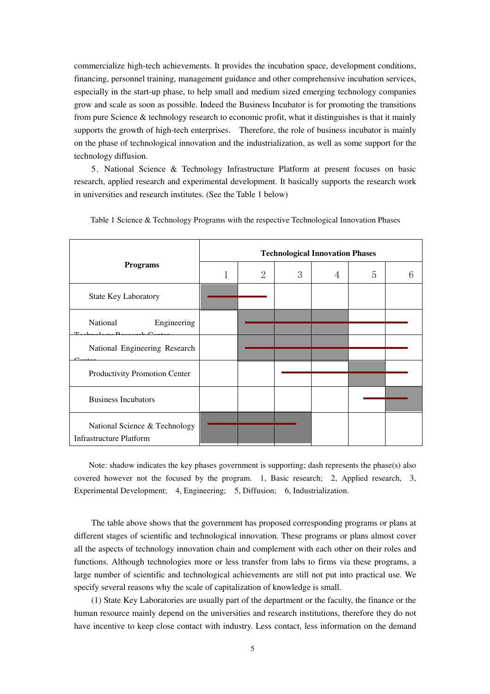commercialize high-tech achievements. It provides the incubation space, development conditions, financing, personnel training, management guidance and other comprehensive incubation services, especially in the start-up phase, to help small and medium sized emerging technology companies grow and scale as soon as possible. Indeed the Business Incubator is for promoting the transitions from pure Science & technology research to economic profit, what it distinguishes is that it mainly supports the growth of high-tech enterprises. Therefore, the role of business incubator is mainly on the phase of technological innovation and the industrialization, as well as some support for the technology diffusion.

5.National Science & Technology Infrastructure Platform at present focuses on basic research, applied research and experimental development. It basically supports the research work in universities and research institutes. (See the Table 1 below)

| <b>Programs</b>                                                 | <b>Technological Innovation Phases</b> |                |   |   |   |  |
|-----------------------------------------------------------------|----------------------------------------|----------------|---|---|---|--|
|                                                                 | 1                                      | $\overline{2}$ | 3 | 4 | 5 |  |
| <b>State Key Laboratory</b>                                     |                                        |                |   |   |   |  |
| National<br>Engineering<br>᠇᠇                                   |                                        |                |   |   |   |  |
| National Engineering Research                                   |                                        |                |   |   |   |  |
| Productivity Promotion Center                                   |                                        |                |   |   |   |  |
| <b>Business Incubators</b>                                      |                                        |                |   |   |   |  |
| National Science & Technology<br><b>Infrastructure Platform</b> |                                        |                |   |   |   |  |

Table 1 Science & Technology Programs with the respective Technological Innovation Phases

Note: shadow indicates the key phases government is supporting; dash represents the phase(s) also covered however not the focused by the program. 1, Basic research; 2, Applied research, 3, Experimental Development; 4, Engineering; 5, Diffusion; 6, Industrialization.

The table above shows that the government has proposed corresponding programs or plans at different stages of scientific and technological innovation. These programs or plans almost cover all the aspects of technology innovation chain and complement with each other on their roles and functions. Although technologies more or less transfer from labs to firms via these programs, a large number of scientific and technological achievements are still not put into practical use. We specify several reasons why the scale of capitalization of knowledge is small.

(1) State Key Laboratories are usually part of the department or the faculty, the finance or the human resource mainly depend on the universities and research institutions, therefore they do not have incentive to keep close contact with industry. Less contact, less information on the demand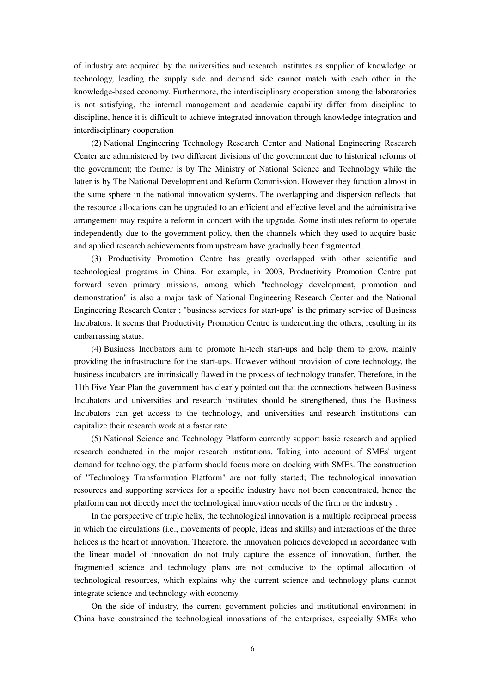of industry are acquired by the universities and research institutes as supplier of knowledge or technology, leading the supply side and demand side cannot match with each other in the knowledge-based economy. Furthermore, the interdisciplinary cooperation among the laboratories is not satisfying, the internal management and academic capability differ from discipline to discipline, hence it is difficult to achieve integrated innovation through knowledge integration and interdisciplinary cooperation

(2) National Engineering Technology Research Center and National Engineering Research Center are administered by two different divisions of the government due to historical reforms of the government; the former is by The Ministry of National Science and Technology while the latter is by The National Development and Reform Commission. However they function almost in the same sphere in the national innovation systems. The overlapping and dispersion reflects that the resource allocations can be upgraded to an efficient and effective level and the administrative arrangement may require a reform in concert with the upgrade. Some institutes reform to operate independently due to the government policy, then the channels which they used to acquire basic and applied research achievements from upstream have gradually been fragmented.

(3) Productivity Promotion Centre has greatly overlapped with other scientific and technological programs in China. For example, in 2003, Productivity Promotion Centre put forward seven primary missions, among which "technology development, promotion and demonstration" is also a major task of National Engineering Research Center and the National Engineering Research Center ; "business services for start-ups" is the primary service of Business Incubators. It seems that Productivity Promotion Centre is undercutting the others, resulting in its embarrassing status.

(4) Business Incubators aim to promote hi-tech start-ups and help them to grow, mainly providing the infrastructure for the start-ups. However without provision of core technology, the business incubators are intrinsically flawed in the process of technology transfer. Therefore, in the 11th Five Year Plan the government has clearly pointed out that the connections between Business Incubators and universities and research institutes should be strengthened, thus the Business Incubators can get access to the technology, and universities and research institutions can capitalize their research work at a faster rate.

(5) National Science and Technology Platform currently support basic research and applied research conducted in the major research institutions. Taking into account of SMEs' urgent demand for technology, the platform should focus more on docking with SMEs. The construction of "Technology Transformation Platform" are not fully started; The technological innovation resources and supporting services for a specific industry have not been concentrated, hence the platform can not directly meet the technological innovation needs of the firm or the industry .

In the perspective of triple helix, the technological innovation is a multiple reciprocal process in which the circulations (i.e., movements of people, ideas and skills) and interactions of the three helices is the heart of innovation. Therefore, the innovation policies developed in accordance with the linear model of innovation do not truly capture the essence of innovation, further, the fragmented science and technology plans are not conducive to the optimal allocation of technological resources, which explains why the current science and technology plans cannot integrate science and technology with economy.

On the side of industry, the current government policies and institutional environment in China have constrained the technological innovations of the enterprises, especially SMEs who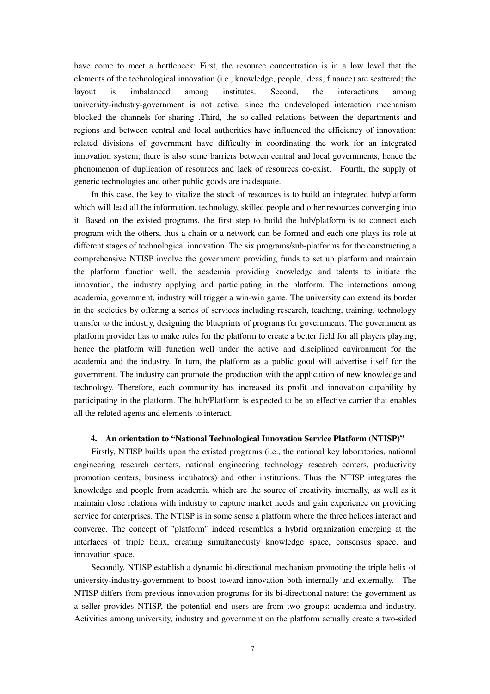have come to meet a bottleneck: First, the resource concentration is in a low level that the elements of the technological innovation (i.e., knowledge, people, ideas, finance) are scattered; the layout is imbalanced among institutes. Second, the interactions among university-industry-government is not active, since the undeveloped interaction mechanism blocked the channels for sharing .Third, the so-called relations between the departments and regions and between central and local authorities have influenced the efficiency of innovation: related divisions of government have difficulty in coordinating the work for an integrated innovation system; there is also some barriers between central and local governments, hence the phenomenon of duplication of resources and lack of resources co-exist. Fourth, the supply of generic technologies and other public goods are inadequate.

In this case, the key to vitalize the stock of resources is to build an integrated hub/platform which will lead all the information, technology, skilled people and other resources converging into it. Based on the existed programs, the first step to build the hub/platform is to connect each program with the others, thus a chain or a network can be formed and each one plays its role at different stages of technological innovation. The six programs/sub-platforms for the constructing a comprehensive NTISP involve the government providing funds to set up platform and maintain the platform function well, the academia providing knowledge and talents to initiate the innovation, the industry applying and participating in the platform. The interactions among academia, government, industry will trigger a win-win game. The university can extend its border in the societies by offering a series of services including research, teaching, training, technology transfer to the industry, designing the blueprints of programs for governments. The government as platform provider has to make rules for the platform to create a better field for all players playing; hence the platform will function well under the active and disciplined environment for the academia and the industry. In turn, the platform as a public good will advertise itself for the government. The industry can promote the production with the application of new knowledge and technology. Therefore, each community has increased its profit and innovation capability by participating in the platform. The hub/Platform is expected to be an effective carrier that enables all the related agents and elements to interact.

#### **4. An orientation to "National Technological Innovation Service Platform (NTISP)"**

Firstly, NTISP builds upon the existed programs (i.e., the national key laboratories, national engineering research centers, national engineering technology research centers, productivity promotion centers, business incubators) and other institutions. Thus the NTISP integrates the knowledge and people from academia which are the source of creativity internally, as well as it maintain close relations with industry to capture market needs and gain experience on providing service for enterprises. The NTISP is in some sense a platform where the three helices interact and converge. The concept of "platform" indeed resembles a hybrid organization emerging at the interfaces of triple helix, creating simultaneously knowledge space, consensus space, and innovation space.

Secondly, NTISP establish a dynamic bi-directional mechanism promoting the triple helix of university-industry-government to boost toward innovation both internally and externally. The NTISP differs from previous innovation programs for its bi-directional nature: the government as a seller provides NTISP, the potential end users are from two groups: academia and industry. Activities among university, industry and government on the platform actually create a two-sided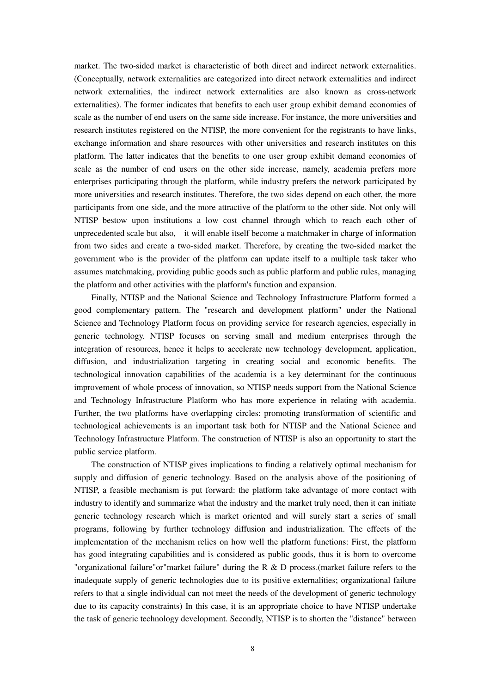market. The two-sided market is characteristic of both direct and indirect network externalities. (Conceptually, network externalities are categorized into direct network externalities and indirect network externalities, the indirect network externalities are also known as cross-network externalities). The former indicates that benefits to each user group exhibit demand economies of scale as the number of end users on the same side increase. For instance, the more universities and research institutes registered on the NTISP, the more convenient for the registrants to have links, exchange information and share resources with other universities and research institutes on this platform. The latter indicates that the benefits to one user group exhibit demand economies of scale as the number of end users on the other side increase, namely, academia prefers more enterprises participating through the platform, while industry prefers the network participated by more universities and research institutes. Therefore, the two sides depend on each other, the more participants from one side, and the more attractive of the platform to the other side. Not only will NTISP bestow upon institutions a low cost channel through which to reach each other of unprecedented scale but also, it will enable itself become a matchmaker in charge of information from two sides and create a two-sided market. Therefore, by creating the two-sided market the government who is the provider of the platform can update itself to a multiple task taker who assumes matchmaking, providing public goods such as public platform and public rules, managing the platform and other activities with the platform's function and expansion.

Finally, NTISP and the National Science and Technology Infrastructure Platform formed a good complementary pattern. The "research and development platform" under the National Science and Technology Platform focus on providing service for research agencies, especially in generic technology. NTISP focuses on serving small and medium enterprises through the integration of resources, hence it helps to accelerate new technology development, application, diffusion, and industrialization targeting in creating social and economic benefits. The technological innovation capabilities of the academia is a key determinant for the continuous improvement of whole process of innovation, so NTISP needs support from the National Science and Technology Infrastructure Platform who has more experience in relating with academia. Further, the two platforms have overlapping circles: promoting transformation of scientific and technological achievements is an important task both for NTISP and the National Science and Technology Infrastructure Platform. The construction of NTISP is also an opportunity to start the public service platform.

The construction of NTISP gives implications to finding a relatively optimal mechanism for supply and diffusion of generic technology. Based on the analysis above of the positioning of NTISP, a feasible mechanism is put forward: the platform take advantage of more contact with industry to identify and summarize what the industry and the market truly need, then it can initiate generic technology research which is market oriented and will surely start a series of small programs, following by further technology diffusion and industrialization. The effects of the implementation of the mechanism relies on how well the platform functions: First, the platform has good integrating capabilities and is considered as public goods, thus it is born to overcome "organizational failure" or "market failure" during the  $R \& D$  process.(market failure refers to the inadequate supply of generic technologies due to its positive externalities; organizational failure refers to that a single individual can not meet the needs of the development of generic technology due to its capacity constraints) In this case, it is an appropriate choice to have NTISP undertake the task of generic technology development. Secondly, NTISP is to shorten the "distance" between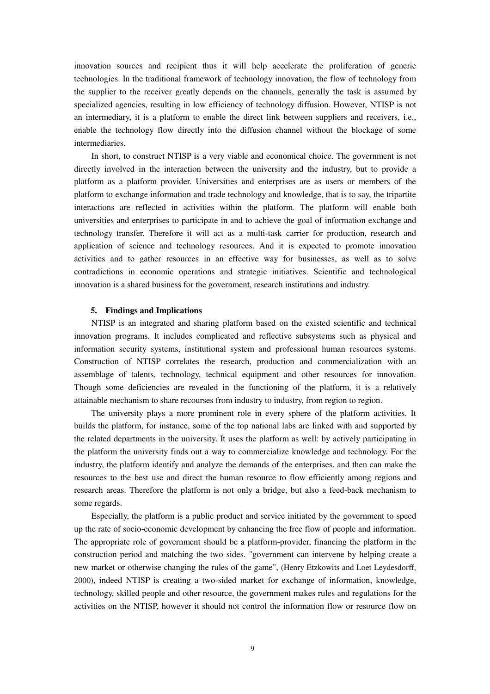innovation sources and recipient thus it will help accelerate the proliferation of generic technologies. In the traditional framework of technology innovation, the flow of technology from the supplier to the receiver greatly depends on the channels, generally the task is assumed by specialized agencies, resulting in low efficiency of technology diffusion. However, NTISP is not an intermediary, it is a platform to enable the direct link between suppliers and receivers, i.e., enable the technology flow directly into the diffusion channel without the blockage of some intermediaries.

In short, to construct NTISP is a very viable and economical choice. The government is not directly involved in the interaction between the university and the industry, but to provide a platform as a platform provider. Universities and enterprises are as users or members of the platform to exchange information and trade technology and knowledge, that is to say, the tripartite interactions are reflected in activities within the platform. The platform will enable both universities and enterprises to participate in and to achieve the goal of information exchange and technology transfer. Therefore it will act as a multi-task carrier for production, research and application of science and technology resources. And it is expected to promote innovation activities and to gather resources in an effective way for businesses, as well as to solve contradictions in economic operations and strategic initiatives. Scientific and technological innovation is a shared business for the government, research institutions and industry.

## **5. Findings and Implications**

NTISP is an integrated and sharing platform based on the existed scientific and technical innovation programs. It includes complicated and reflective subsystems such as physical and information security systems, institutional system and professional human resources systems. Construction of NTISP correlates the research, production and commercialization with an assemblage of talents, technology, technical equipment and other resources for innovation. Though some deficiencies are revealed in the functioning of the platform, it is a relatively attainable mechanism to share recourses from industry to industry, from region to region.

The university plays a more prominent role in every sphere of the platform activities. It builds the platform, for instance, some of the top national labs are linked with and supported by the related departments in the university. It uses the platform as well: by actively participating in the platform the university finds out a way to commercialize knowledge and technology. For the industry, the platform identify and analyze the demands of the enterprises, and then can make the resources to the best use and direct the human resource to flow efficiently among regions and research areas. Therefore the platform is not only a bridge, but also a feed-back mechanism to some regards.

Especially, the platform is a public product and service initiated by the government to speed up the rate of socio-economic development by enhancing the free flow of people and information. The appropriate role of government should be a platform-provider, financing the platform in the construction period and matching the two sides. "government can intervene by helping create a new market or otherwise changing the rules of the game", (Henry Etzkowits and Loet Leydesdorff, 2000), indeed NTISP is creating a two-sided market for exchange of information, knowledge, technology, skilled people and other resource, the government makes rules and regulations for the activities on the NTISP, however it should not control the information flow or resource flow on